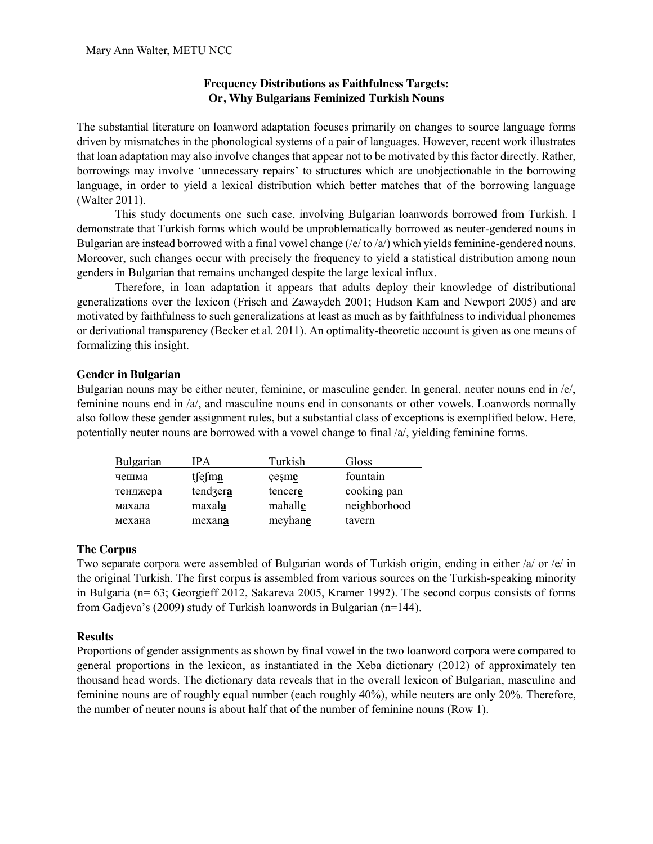# **Frequency Distributions as Faithfulness Targets: Or, Why Bulgarians Feminized Turkish Nouns**

The substantial literature on loanword adaptation focuses primarily on changes to source language forms driven by mismatches in the phonological systems of a pair of languages. However, recent work illustrates that loan adaptation may also involve changes that appear not to be motivated by this factor directly. Rather, borrowings may involve 'unnecessary repairs' to structures which are unobjectionable in the borrowing language, in order to yield a lexical distribution which better matches that of the borrowing language (Walter 2011).

This study documents one such case, involving Bulgarian loanwords borrowed from Turkish. I demonstrate that Turkish forms which would be unproblematically borrowed as neuter-gendered nouns in Bulgarian are instead borrowed with a final vowel change ( $/e$  to  $a$ ) which yields feminine-gendered nouns. Moreover, such changes occur with precisely the frequency to yield a statistical distribution among noun genders in Bulgarian that remains unchanged despite the large lexical influx.

Therefore, in loan adaptation it appears that adults deploy their knowledge of distributional generalizations over the lexicon (Frisch and Zawaydeh 2001; Hudson Kam and Newport 2005) and are motivated by faithfulness to such generalizations at least as much as by faithfulness to individual phonemes or derivational transparency (Becker et al. 2011). An optimality-theoretic account is given as one means of formalizing this insight.

## **Gender in Bulgarian**

Bulgarian nouns may be either neuter, feminine, or masculine gender. In general, neuter nouns end in /e/, feminine nouns end in /a/, and masculine nouns end in consonants or other vowels. Loanwords normally also follow these gender assignment rules, but a substantial class of exceptions is exemplified below. Here, potentially neuter nouns are borrowed with a vowel change to final /a/, yielding feminine forms.

| Bulgarian | IPA      | Turkish | Gloss        |
|-----------|----------|---------|--------------|
| чешма     | tsesma   | cesme   | fountain     |
| тенджера  | tendzera | tencere | cooking pan  |
| махала    | maxala   | mahalle | neighborhood |
| механа    | mexana   | meyhane | tavern       |

### **The Corpus**

Two separate corpora were assembled of Bulgarian words of Turkish origin, ending in either /a/ or /e/ in the original Turkish. The first corpus is assembled from various sources on the Turkish-speaking minority in Bulgaria (n= 63; Georgieff 2012, Sakareva 2005, Kramer 1992). The second corpus consists of forms from Gadjeva's (2009) study of Turkish loanwords in Bulgarian (n=144).

# **Results**

Proportions of gender assignments as shown by final vowel in the two loanword corpora were compared to general proportions in the lexicon, as instantiated in the Xeba dictionary (2012) of approximately ten thousand head words. The dictionary data reveals that in the overall lexicon of Bulgarian, masculine and feminine nouns are of roughly equal number (each roughly 40%), while neuters are only 20%. Therefore, the number of neuter nouns is about half that of the number of feminine nouns (Row 1).